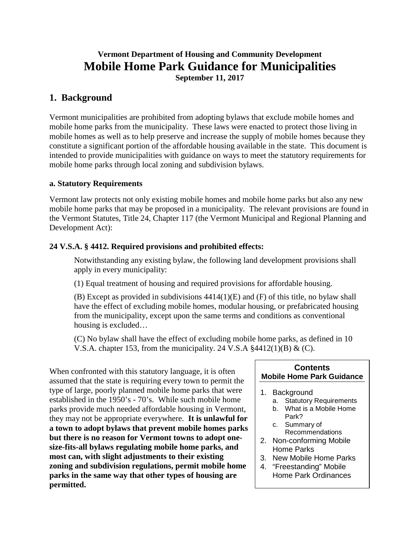## **Vermont Department of Housing and Community Development Mobile Home Park Guidance for Municipalities September 11, 2017**

## **1. Background**

Vermont municipalities are prohibited from adopting bylaws that exclude mobile homes and mobile home parks from the municipality. These laws were enacted to protect those living in mobile homes as well as to help preserve and increase the supply of mobile homes because they constitute a significant portion of the affordable housing available in the state. This document is intended to provide municipalities with guidance on ways to meet the statutory requirements for mobile home parks through local zoning and subdivision bylaws.

#### **a. Statutory Requirements**

Vermont law protects not only existing mobile homes and mobile home parks but also any new mobile home parks that may be proposed in a municipality. The relevant provisions are found in the Vermont Statutes, Title 24, Chapter 117 (the Vermont Municipal and Regional Planning and Development Act):

#### **24 V.S.A. § 4412. Required provisions and prohibited effects:**

Notwithstanding any existing bylaw, the following land development provisions shall apply in every municipality:

(1) Equal treatment of housing and required provisions for affordable housing.

(B) Except as provided in subdivisions 4414(1)(E) and (F) of this title, no bylaw shall have the effect of excluding mobile homes, modular housing, or prefabricated housing from the municipality, except upon the same terms and conditions as conventional housing is excluded…

(C) No bylaw shall have the effect of excluding mobile home parks, as defined in 10 V.S.A. chapter 153, from the municipality. 24 V.S.A  $\frac{24412(1)}{B} \& C$ .

When confronted with this statutory language, it is often assumed that the state is requiring every town to permit the type of large, poorly planned mobile home parks that were established in the 1950's - 70's. While such mobile home parks provide much needed affordable housing in Vermont, they may not be appropriate everywhere. **It is unlawful for a town to adopt bylaws that prevent mobile homes parks but there is no reason for Vermont towns to adopt onesize-fits-all bylaws regulating mobile home parks, and most can, with slight adjustments to their existing zoning and subdivision regulations, permit mobile home parks in the same way that other types of housing are permitted.**

#### **Contents Mobile Home Park Guidance**

- 1. Background
	- a. Statutory Requirements
	- b. What is a Mobile Home Park?
	- c. Summary of Recommendations
- 2. Non-conforming Mobile Home Parks
- 3. New Mobile Home Parks
- 4. "Freestanding" Mobile Home Park Ordinances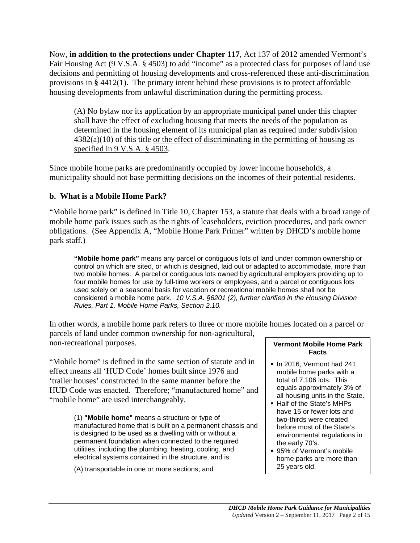Now, **in addition to the protections under Chapter 117**, Act 137 of 2012 amended Vermont's Fair Housing Act (9 V.S.A. § 4503) to add "income" as a protected class for purposes of land use decisions and permitting of housing developments and cross-referenced these anti-discrimination provisions in **§** 4412(1). The primary intent behind these provisions is to protect affordable housing developments from unlawful discrimination during the permitting process.

(A) No bylaw nor its application by an appropriate municipal panel under this chapter shall have the effect of excluding housing that meets the needs of the population as determined in the housing element of its municipal plan as required under subdivision  $4382(a)(10)$  of this title or the effect of discriminating in the permitting of housing as specified in 9 V.S.A. § 4503.

Since mobile home parks are predominantly occupied by lower income households, a municipality should not base permitting decisions on the incomes of their potential residents.

## **b. What is a Mobile Home Park?**

"Mobile home park" is defined in Title 10, Chapter 153, a statute that deals with a broad range of mobile home park issues such as the rights of leaseholders, eviction procedures, and park owner obligations. (See Appendix A, "Mobile Home Park Primer" written by DHCD's mobile home park staff.)

**"Mobile home park"** means any parcel or contiguous lots of land under common ownership or control on which are sited, or which is designed, laid out or adapted to accommodate, more than two mobile homes. A parcel or contiguous lots owned by agricultural employers providing up to four mobile homes for use by full-time workers or employees, and a parcel or contiguous lots used solely on a seasonal basis for vacation or recreational mobile homes shall not be considered a mobile home park. *10 V.S.A. §6201 (2), further clarified in the Housing Division Rules, Part 1, Mobile Home Parks, Section 2.10.*

In other words, a mobile home park refers to three or more mobile homes located on a parcel or parcels of land under common ownership for non-agricultural, non-recreational purposes. **Vermont Mobile Home Park** 

"Mobile home" is defined in the same section of statute and in effect means all 'HUD Code' homes built since 1976 and 'trailer houses' constructed in the same manner before the HUD Code was enacted. Therefore; "manufactured home" and "mobile home" are used interchangeably.

> (1) **"Mobile home"** means a structure or type of manufactured home that is built on a permanent chassis and is designed to be used as a dwelling with or without a permanent foundation when connected to the required utilities, including the plumbing, heating, cooling, and electrical systems contained in the structure, and is:

(A) transportable in one or more sections; and

# **Facts**

- $\blacksquare$  In 2016, Vermont had 241 mobile home parks with a total of 7,106 lots. This equals approximately 3% of all housing units in the State.
- Half of the State's MHPs have 15 or fewer lots and two-thirds were created before most of the State's environmental regulations in the early 70's.
- 95% of Vermont's mobile home parks are more than 25 years old.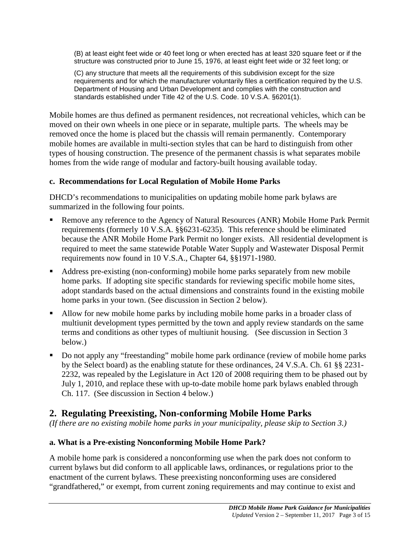(B) at least eight feet wide or 40 feet long or when erected has at least 320 square feet or if the structure was constructed prior to June 15, 1976, at least eight feet wide or 32 feet long; or

(C) any structure that meets all the requirements of this subdivision except for the size requirements and for which the manufacturer voluntarily files a certification required by the U.S. Department of Housing and Urban Development and complies with the construction and standards established under Title 42 of the U.S. Code. 10 V.S.A. §6201(1).

Mobile homes are thus defined as permanent residences, not recreational vehicles, which can be moved on their own wheels in one piece or in separate, multiple parts. The wheels may be removed once the home is placed but the chassis will remain permanently. Contemporary mobile homes are available in multi-section styles that can be hard to distinguish from other types of housing construction. The presence of the permanent chassis is what separates mobile homes from the wide range of modular and factory-built housing available today.

## **c. Recommendations for Local Regulation of Mobile Home Parks**

DHCD's recommendations to municipalities on updating mobile home park bylaws are summarized in the following four points.

- Remove any reference to the Agency of Natural Resources (ANR) Mobile Home Park Permit requirements (formerly 10 V.S.A. §§6231-6235). This reference should be eliminated because the ANR Mobile Home Park Permit no longer exists. All residential development is required to meet the same statewide Potable Water Supply and Wastewater Disposal Permit requirements now found in 10 V.S.A., Chapter 64, §§1971-1980.
- Address pre-existing (non-conforming) mobile home parks separately from new mobile home parks. If adopting site specific standards for reviewing specific mobile home sites, adopt standards based on the actual dimensions and constraints found in the existing mobile home parks in your town. (See discussion in Section 2 below).
- Allow for new mobile home parks by including mobile home parks in a broader class of multiunit development types permitted by the town and apply review standards on the same terms and conditions as other types of multiunit housing. (See discussion in Section 3 below.)
- Do not apply any "freestanding" mobile home park ordinance (review of mobile home parks by the Select board) as the enabling statute for these ordinances, 24 V.S.A. Ch. 61 §§ 2231- 2232, was repealed by the Legislature in Act 120 of 2008 requiring them to be phased out by July 1, 2010, and replace these with up-to-date mobile home park bylaws enabled through Ch. 117. (See discussion in Section 4 below.)

# **2. Regulating Preexisting, Non-conforming Mobile Home Parks**

*(If there are no existing mobile home parks in your municipality, please skip to Section 3.)*

## **a. What is a Pre-existing Nonconforming Mobile Home Park?**

A mobile home park is considered a nonconforming use when the park does not conform to current bylaws but did conform to all applicable laws, ordinances, or regulations prior to the enactment of the current bylaws. These preexisting nonconforming uses are considered "grandfathered," or exempt, from current zoning requirements and may continue to exist and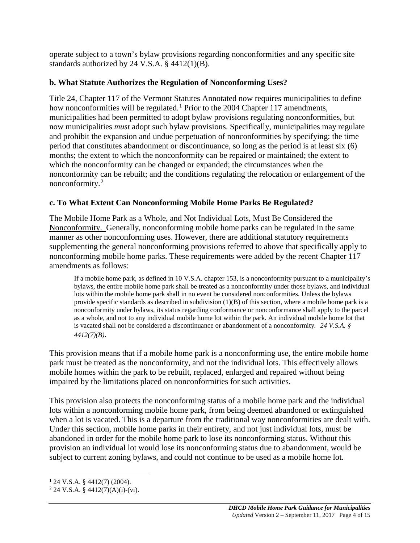operate subject to a town's bylaw provisions regarding nonconformities and any specific site standards authorized by 24 V.S.A. § 4412(1)(B).

### **b. What Statute Authorizes the Regulation of Nonconforming Uses?**

Title 24, Chapter 117 of the Vermont Statutes Annotated now requires municipalities to define how nonconformities will be regulated.<sup>[1](#page-3-0)</sup> Prior to the 2004 Chapter 117 amendments, municipalities had been permitted to adopt bylaw provisions regulating nonconformities, but now municipalities *must* adopt such bylaw provisions. Specifically, municipalities may regulate and prohibit the expansion and undue perpetuation of nonconformities by specifying: the time period that constitutes abandonment or discontinuance, so long as the period is at least six (6) months; the extent to which the nonconformity can be repaired or maintained; the extent to which the nonconformity can be changed or expanded; the circumstances when the nonconformity can be rebuilt; and the conditions regulating the relocation or enlargement of the nonconformity.[2](#page-3-1)

## **c. To What Extent Can Nonconforming Mobile Home Parks Be Regulated?**

The Mobile Home Park as a Whole, and Not Individual Lots, Must Be Considered the Nonconformity. Generally, nonconforming mobile home parks can be regulated in the same manner as other nonconforming uses. However, there are additional statutory requirements supplementing the general nonconforming provisions referred to above that specifically apply to nonconforming mobile home parks. These requirements were added by the recent Chapter 117 amendments as follows:

If a mobile home park, as defined in 10 V.S.A. chapter 153, is a nonconformity pursuant to a municipality's bylaws, the entire mobile home park shall be treated as a nonconformity under those bylaws, and individual lots within the mobile home park shall in no event be considered nonconformities. Unless the bylaws provide specific standards as described in subdivision  $(1)(B)$  of this section, where a mobile home park is a nonconformity under bylaws, its status regarding conformance or nonconformance shall apply to the parcel as a whole, and not to any individual mobile home lot within the park. An individual mobile home lot that is vacated shall not be considered a discontinuance or abandonment of a nonconformity*. 24 V.S.A. § 4412(7)(B)*.

This provision means that if a mobile home park is a nonconforming use, the entire mobile home park must be treated as the nonconformity, and not the individual lots. This effectively allows mobile homes within the park to be rebuilt, replaced, enlarged and repaired without being impaired by the limitations placed on nonconformities for such activities.

This provision also protects the nonconforming status of a mobile home park and the individual lots within a nonconforming mobile home park, from being deemed abandoned or extinguished when a lot is vacated. This is a departure from the traditional way nonconformities are dealt with. Under this section, mobile home parks in their entirety, and not just individual lots, must be abandoned in order for the mobile home park to lose its nonconforming status. Without this provision an individual lot would lose its nonconforming status due to abandonment, would be subject to current zoning bylaws, and could not continue to be used as a mobile home lot.

<span id="page-3-0"></span> $1$  24 V.S.A. § 4412(7) (2004).

<span id="page-3-1"></span> $2$  24 V.S.A. § 4412(7)(A)(i)-(vi).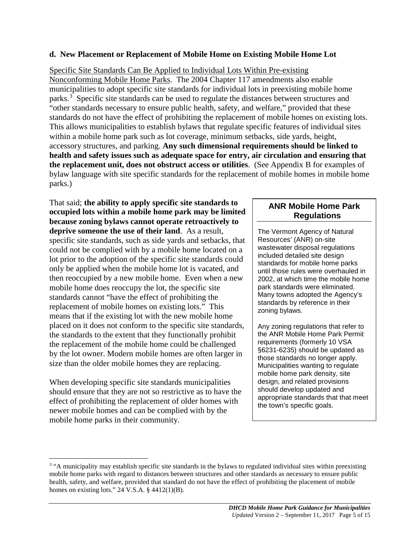#### **d. New Placement or Replacement of Mobile Home on Existing Mobile Home Lot**

#### Specific Site Standards Can Be Applied to Individual Lots Within Pre-existing

Nonconforming Mobile Home Parks. The 2004 Chapter 117 amendments also enable municipalities to adopt specific site standards for individual lots in preexisting mobile home parks.<sup>[3](#page-4-0)</sup> Specific site standards can be used to regulate the distances between structures and "other standards necessary to ensure public health, safety, and welfare," provided that these standards do not have the effect of prohibiting the replacement of mobile homes on existing lots. This allows municipalities to establish bylaws that regulate specific features of individual sites within a mobile home park such as lot coverage, minimum setbacks, side yards, height, accessory structures, and parking. **Any such dimensional requirements should be linked to health and safety issues such as adequate space for entry, air circulation and ensuring that the replacement unit, does not obstruct access or utilities**. (See Appendix B for examples of bylaw language with site specific standards for the replacement of mobile homes in mobile home parks.)

That said; **the ability to apply specific site standards to occupied lots within a mobile home park may be limited because zoning bylaws cannot operate retroactively to deprive someone the use of their land**. As a result, specific site standards, such as side yards and setbacks, that could not be complied with by a mobile home located on a lot prior to the adoption of the specific site standards could only be applied when the mobile home lot is vacated, and then reoccupied by a new mobile home. Even when a new mobile home does reoccupy the lot, the specific site standards cannot "have the effect of prohibiting the replacement of mobile homes on existing lots." This means that if the existing lot with the new mobile home placed on it does not conform to the specific site standards, the standards to the extent that they functionally prohibit the replacement of the mobile home could be challenged by the lot owner. Modern mobile homes are often larger in size than the older mobile homes they are replacing.

When developing specific site standards municipalities should ensure that they are not so restrictive as to have the effect of prohibiting the replacement of older homes with newer mobile homes and can be complied with by the mobile home parks in their community.

#### **ANR Mobile Home Park Regulations**

The Vermont Agency of Natural Resources' (ANR) on-site wastewater disposal regulations included detailed site design standards for mobile home parks until those rules were overhauled in 2002, at which time the mobile home park standards were eliminated. Many towns adopted the Agency's standards by reference in their zoning bylaws.

Any zoning regulations that refer to the ANR Mobile Home Park Permit requirements (formerly 10 VSA §6231-6235) should be updated as those standards no longer apply. Municipalities wanting to regulate mobile home park density, site design, and related provisions should develop updated and appropriate standards that that meet the town's specific goals.

<span id="page-4-0"></span><sup>&</sup>lt;sup>3</sup> "A municipality may establish specific site standards in the bylaws to regulated individual sites within preexisting mobile home parks with regard to distances between structures and other standards as necessary to ensure public health, safety, and welfare, provided that standard do not have the effect of prohibiting the placement of mobile homes on existing lots." 24 V.S.A.  $\S$  4412(1)(B).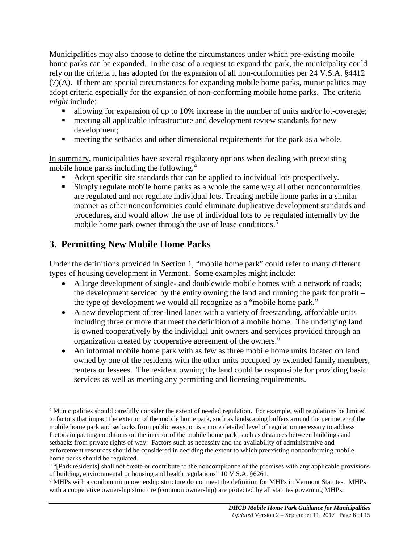Municipalities may also choose to define the circumstances under which pre-existing mobile home parks can be expanded. In the case of a request to expand the park, the municipality could rely on the criteria it has adopted for the expansion of all non-conformities per 24 V.S.A. §4412 (7)(A). If there are special circumstances for expanding mobile home parks, municipalities may adopt criteria especially for the expansion of non-conforming mobile home parks. The criteria *might* include:

- allowing for expansion of up to 10% increase in the number of units and/or lot-coverage;
- meeting all applicable infrastructure and development review standards for new development;
- **meeting the setbacks and other dimensional requirements for the park as a whole.**

In summary, municipalities have several regulatory options when dealing with preexisting mobile home parks including the following. [4](#page-5-0)

- Adopt specific site standards that can be applied to individual lots prospectively.
- Simply regulate mobile home parks as a whole the same way all other nonconformities are regulated and not regulate individual lots. Treating mobile home parks in a similar manner as other nonconformities could eliminate duplicative development standards and procedures, and would allow the use of individual lots to be regulated internally by the mobile home park owner through the use of lease conditions.<sup>[5](#page-5-1)</sup>

# **3. Permitting New Mobile Home Parks**

Under the definitions provided in Section 1, "mobile home park" could refer to many different types of housing development in Vermont. Some examples might include:

- A large development of single- and doublewide mobile homes with a network of roads; the development serviced by the entity owning the land and running the park for profit – the type of development we would all recognize as a "mobile home park."
- A new development of tree-lined lanes with a variety of freestanding, affordable units including three or more that meet the definition of a mobile home. The underlying land is owned cooperatively by the individual unit owners and services provided through an organization created by cooperative agreement of the owners.[6](#page-5-2)
- An informal mobile home park with as few as three mobile home units located on land owned by one of the residents with the other units occupied by extended family members, renters or lessees. The resident owning the land could be responsible for providing basic services as well as meeting any permitting and licensing requirements.

<span id="page-5-0"></span> <sup>4</sup> Municipalities should carefully consider the extent of needed regulation. For example, will regulations be limited to factors that impact the exterior of the mobile home park, such as landscaping buffers around the perimeter of the mobile home park and setbacks from public ways, or is a more detailed level of regulation necessary to address factors impacting conditions on the interior of the mobile home park, such as distances between buildings and setbacks from private rights of way. Factors such as necessity and the availability of administrative and enforcement resources should be considered in deciding the extent to which preexisting nonconforming mobile home parks should be regulated.

<span id="page-5-1"></span><sup>5</sup> "[Park residents] shall not create or contribute to the noncompliance of the premises with any applicable provisions of building, environmental or housing and health regulations" 10 V.S.A. §6261.

<span id="page-5-2"></span><sup>6</sup> MHPs with a condominium ownership structure do not meet the definition for MHPs in Vermont Statutes. MHPs with a cooperative ownership structure (common ownership) are protected by all statutes governing MHPs.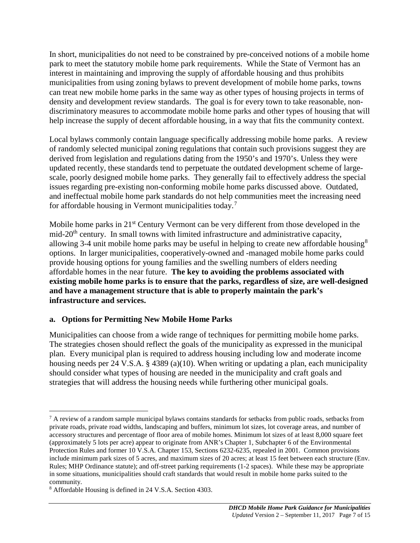In short, municipalities do not need to be constrained by pre-conceived notions of a mobile home park to meet the statutory mobile home park requirements. While the State of Vermont has an interest in maintaining and improving the supply of affordable housing and thus prohibits municipalities from using zoning bylaws to prevent development of mobile home parks, towns can treat new mobile home parks in the same way as other types of housing projects in terms of density and development review standards. The goal is for every town to take reasonable, nondiscriminatory measures to accommodate mobile home parks and other types of housing that will help increase the supply of decent affordable housing, in a way that fits the community context.

Local bylaws commonly contain language specifically addressing mobile home parks. A review of randomly selected municipal zoning regulations that contain such provisions suggest they are derived from legislation and regulations dating from the 1950's and 1970's. Unless they were updated recently, these standards tend to perpetuate the outdated development scheme of largescale, poorly designed mobile home parks. They generally fail to effectively address the special issues regarding pre-existing non-conforming mobile home parks discussed above. Outdated, and ineffectual mobile home park standards do not help communities meet the increasing need for affordable housing in Vermont municipalities today.[7](#page-6-0)

Mobile home parks in 21<sup>st</sup> Century Vermont can be very different from those developed in the mid-20<sup>th</sup> century. In small towns with limited infrastructure and administrative capacity, allowing 3-4 unit mobile home parks may be useful in helping to create new affordable housing<sup>[8](#page-6-1)</sup> options. In larger municipalities, cooperatively-owned and -managed mobile home parks could provide housing options for young families and the swelling numbers of elders needing affordable homes in the near future. **The key to avoiding the problems associated with existing mobile home parks is to ensure that the parks, regardless of size, are well-designed and have a management structure that is able to properly maintain the park's infrastructure and services.** 

## **a. Options for Permitting New Mobile Home Parks**

Municipalities can choose from a wide range of techniques for permitting mobile home parks. The strategies chosen should reflect the goals of the municipality as expressed in the municipal plan. Every municipal plan is required to address housing including low and moderate income housing needs per 24 V.S.A. § 4389 (a)(10). When writing or updating a plan, each municipality should consider what types of housing are needed in the municipality and craft goals and strategies that will address the housing needs while furthering other municipal goals.

<span id="page-6-0"></span><sup>&</sup>lt;sup>7</sup> A review of a random sample municipal bylaws contains standards for setbacks from public roads, setbacks from private roads, private road widths, landscaping and buffers, minimum lot sizes, lot coverage areas, and number of accessory structures and percentage of floor area of mobile homes. Minimum lot sizes of at least 8,000 square feet (approximately 5 lots per acre) appear to originate from ANR's Chapter 1, Subchapter 6 of the Environmental Protection Rules and former 10 V.S.A. Chapter 153, Sections 6232-6235, repealed in 2001. Common provisions include minimum park sizes of 5 acres, and maximum sizes of 20 acres; at least 15 feet between each structure (Env. Rules; MHP Ordinance statute); and off-street parking requirements (1-2 spaces). While these may be appropriate in some situations, municipalities should craft standards that would result in mobile home parks suited to the community.

<span id="page-6-1"></span><sup>8</sup> Affordable Housing is defined in 24 V.S.A. Section 4303.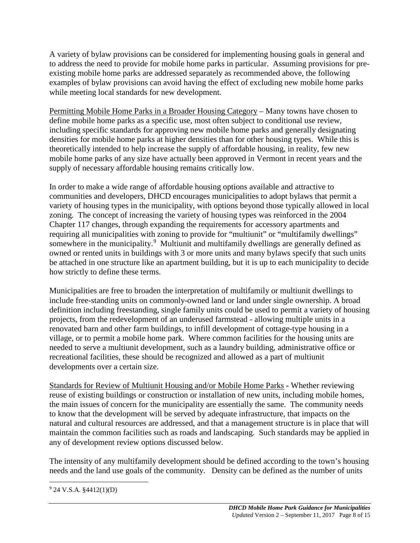A variety of bylaw provisions can be considered for implementing housing goals in general and to address the need to provide for mobile home parks in particular. Assuming provisions for preexisting mobile home parks are addressed separately as recommended above, the following examples of bylaw provisions can avoid having the effect of excluding new mobile home parks while meeting local standards for new development.

Permitting Mobile Home Parks in a Broader Housing Category – Many towns have chosen to define mobile home parks as a specific use, most often subject to conditional use review, including specific standards for approving new mobile home parks and generally designating densities for mobile home parks at higher densities than for other housing types. While this is theoretically intended to help increase the supply of affordable housing, in reality, few new mobile home parks of any size have actually been approved in Vermont in recent years and the supply of necessary affordable housing remains critically low.

In order to make a wide range of affordable housing options available and attractive to communities and developers, DHCD encourages municipalities to adopt bylaws that permit a variety of housing types in the municipality, with options beyond those typically allowed in local zoning. The concept of increasing the variety of housing types was reinforced in the 2004 Chapter 117 changes, through expanding the requirements for accessory apartments and requiring all municipalities with zoning to provide for "multiunit" or "multifamily dwellings" somewhere in the municipality.<sup>[9](#page-7-0)</sup> Multiunit and multifamily dwellings are generally defined as owned or rented units in buildings with 3 or more units and many bylaws specify that such units be attached in one structure like an apartment building, but it is up to each municipality to decide how strictly to define these terms.

Municipalities are free to broaden the interpretation of multifamily or multiunit dwellings to include free-standing units on commonly-owned land or land under single ownership. A broad definition including freestanding, single family units could be used to permit a variety of housing projects, from the redevelopment of an underused farmstead - allowing multiple units in a renovated barn and other farm buildings, to infill development of cottage-type housing in a village, or to permit a mobile home park. Where common facilities for the housing units are needed to serve a multiunit development, such as a laundry building, administrative office or recreational facilities, these should be recognized and allowed as a part of multiunit developments over a certain size.

Standards for Review of Multiunit Housing and/or Mobile Home Parks **-** Whether reviewing reuse of existing buildings or construction or installation of new units, including mobile homes, the main issues of concern for the municipality are essentially the same. The community needs to know that the development will be served by adequate infrastructure, that impacts on the natural and cultural resources are addressed, and that a management structure is in place that will maintain the common facilities such as roads and landscaping. Such standards may be applied in any of development review options discussed below.

The intensity of any multifamily development should be defined according to the town's housing needs and the land use goals of the community. Density can be defined as the number of units

<span id="page-7-0"></span> $9$  24 V.S.A. §4412(1)(D)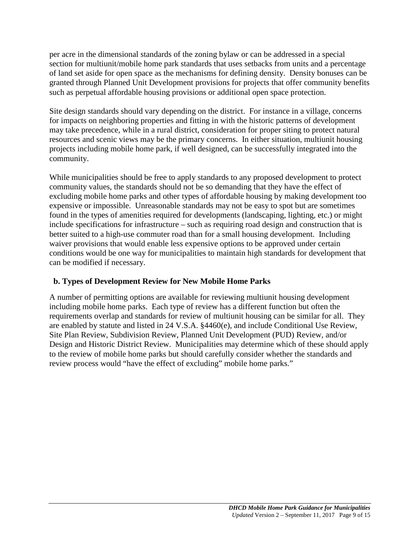per acre in the dimensional standards of the zoning bylaw or can be addressed in a special section for multiunit/mobile home park standards that uses setbacks from units and a percentage of land set aside for open space as the mechanisms for defining density. Density bonuses can be granted through Planned Unit Development provisions for projects that offer community benefits such as perpetual affordable housing provisions or additional open space protection.

Site design standards should vary depending on the district. For instance in a village, concerns for impacts on neighboring properties and fitting in with the historic patterns of development may take precedence, while in a rural district, consideration for proper siting to protect natural resources and scenic views may be the primary concerns. In either situation, multiunit housing projects including mobile home park, if well designed, can be successfully integrated into the community.

While municipalities should be free to apply standards to any proposed development to protect community values, the standards should not be so demanding that they have the effect of excluding mobile home parks and other types of affordable housing by making development too expensive or impossible. Unreasonable standards may not be easy to spot but are sometimes found in the types of amenities required for developments (landscaping, lighting, etc.) or might include specifications for infrastructure – such as requiring road design and construction that is better suited to a high-use commuter road than for a small housing development. Including waiver provisions that would enable less expensive options to be approved under certain conditions would be one way for municipalities to maintain high standards for development that can be modified if necessary.

## **b. Types of Development Review for New Mobile Home Parks**

A number of permitting options are available for reviewing multiunit housing development including mobile home parks. Each type of review has a different function but often the requirements overlap and standards for review of multiunit housing can be similar for all. They are enabled by statute and listed in 24 V.S.A. §4460(e), and include Conditional Use Review, Site Plan Review, Subdivision Review, Planned Unit Development (PUD) Review, and/or Design and Historic District Review. Municipalities may determine which of these should apply to the review of mobile home parks but should carefully consider whether the standards and review process would "have the effect of excluding" mobile home parks."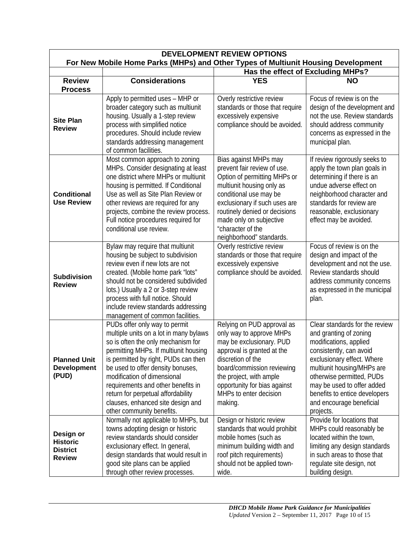| <b>DEVELOPMENT REVIEW OPTIONS</b><br>For New Mobile Home Parks (MHPs) and Other Types of Multiunit Housing Development |                                                                                                                                                                                                                                                                                                                                                                                                                  |                                                                                                                                                                                                                                                                                           |                                                                                                                                                                                                                                                                                                                |
|------------------------------------------------------------------------------------------------------------------------|------------------------------------------------------------------------------------------------------------------------------------------------------------------------------------------------------------------------------------------------------------------------------------------------------------------------------------------------------------------------------------------------------------------|-------------------------------------------------------------------------------------------------------------------------------------------------------------------------------------------------------------------------------------------------------------------------------------------|----------------------------------------------------------------------------------------------------------------------------------------------------------------------------------------------------------------------------------------------------------------------------------------------------------------|
|                                                                                                                        |                                                                                                                                                                                                                                                                                                                                                                                                                  | Has the effect of Excluding MHPs?                                                                                                                                                                                                                                                         |                                                                                                                                                                                                                                                                                                                |
| <b>Review</b>                                                                                                          | <b>Considerations</b>                                                                                                                                                                                                                                                                                                                                                                                            | <b>YES</b>                                                                                                                                                                                                                                                                                | <b>NO</b>                                                                                                                                                                                                                                                                                                      |
| <b>Process</b>                                                                                                         |                                                                                                                                                                                                                                                                                                                                                                                                                  |                                                                                                                                                                                                                                                                                           |                                                                                                                                                                                                                                                                                                                |
| <b>Site Plan</b><br><b>Review</b>                                                                                      | Apply to permitted uses - MHP or<br>broader category such as multiunit<br>housing. Usually a 1-step review<br>process with simplified notice<br>procedures. Should include review<br>standards addressing management<br>of common facilities.                                                                                                                                                                    | Overly restrictive review<br>standards or those that require<br>excessively expensive<br>compliance should be avoided.                                                                                                                                                                    | Focus of review is on the<br>design of the development and<br>not the use. Review standards<br>should address community<br>concerns as expressed in the<br>municipal plan.                                                                                                                                     |
| <b>Conditional</b><br><b>Use Review</b>                                                                                | Most common approach to zoning<br>MHPs. Consider designating at least<br>one district where MHPs or multiunit<br>housing is permitted. If Conditional<br>Use as well as Site Plan Review or<br>other reviews are required for any<br>projects, combine the review process.<br>Full notice procedures required for<br>conditional use review.                                                                     | Bias against MHPs may<br>prevent fair review of use.<br>Option of permitting MHPs or<br>multiunit housing only as<br>conditional use may be<br>exclusionary if such uses are<br>routinely denied or decisions<br>made only on subjective<br>"character of the<br>neighborhood" standards. | If review rigorously seeks to<br>apply the town plan goals in<br>determining if there is an<br>undue adverse effect on<br>neighborhood character and<br>standards for review are<br>reasonable, exclusionary<br>effect may be avoided.                                                                         |
| <b>Subdivision</b><br><b>Review</b>                                                                                    | Bylaw may require that multiunit<br>housing be subject to subdivision<br>review even if new lots are not<br>created. (Mobile home park "lots"<br>should not be considered subdivided<br>lots.) Usually a 2 or 3-step review<br>process with full notice. Should<br>include review standards addressing<br>management of common facilities.                                                                       | Overly restrictive review<br>standards or those that require<br>excessively expensive<br>compliance should be avoided.                                                                                                                                                                    | Focus of review is on the<br>design and impact of the<br>development and not the use.<br>Review standards should<br>address community concerns<br>as expressed in the municipal<br>plan.                                                                                                                       |
| <b>Planned Unit</b><br><b>Development</b><br>(PUD)                                                                     | PUDs offer only way to permit<br>multiple units on a lot in many bylaws<br>so is often the only mechanism for<br>permitting MHPs. If multiunit housing<br>is permitted by right, PUDs can then<br>be used to offer density bonuses,<br>modification of dimensional<br>requirements and other benefits in<br>return for perpetual affordability<br>clauses, enhanced site design and<br>other community benefits. | Relying on PUD approval as<br>only way to approve MHPs<br>may be exclusionary. PUD<br>approval is granted at the<br>discretion of the<br>board/commission reviewing<br>the project, with ample<br>opportunity for bias against<br>MHPs to enter decision<br>making.                       | Clear standards for the review<br>and granting of zoning<br>modifications, applied<br>consistently, can avoid<br>exclusionary effect. Where<br>multiunit housing/MHPs are<br>otherwise permitted, PUDs<br>may be used to offer added<br>benefits to entice developers<br>and encourage beneficial<br>projects. |
| Design or<br><b>Historic</b><br><b>District</b><br><b>Review</b>                                                       | Normally not applicable to MHPs, but<br>towns adopting design or historic<br>review standards should consider<br>exclusionary effect. In general,<br>design standards that would result in<br>good site plans can be applied<br>through other review processes.                                                                                                                                                  | Design or historic review<br>standards that would prohibit<br>mobile homes (such as<br>minimum building width and<br>roof pitch requirements)<br>should not be applied town-<br>wide.                                                                                                     | Provide for locations that<br>MHPs could reasonably be<br>located within the town,<br>limiting any design standards<br>in such areas to those that<br>regulate site design, not<br>building design.                                                                                                            |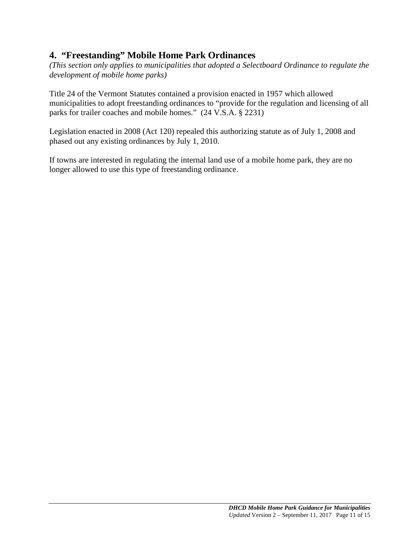# **4. "Freestanding" Mobile Home Park Ordinances**

*(This section only applies to municipalities that adopted a Selectboard Ordinance to regulate the development of mobile home parks)*

Title 24 of the Vermont Statutes contained a provision enacted in 1957 which allowed municipalities to adopt freestanding ordinances to "provide for the regulation and licensing of all parks for trailer coaches and mobile homes." (24 V.S.A. § 2231)

Legislation enacted in 2008 (Act 120) repealed this authorizing statute as of July 1, 2008 and phased out any existing ordinances by July 1, 2010.

If towns are interested in regulating the internal land use of a mobile home park, they are no longer allowed to use this type of freestanding ordinance.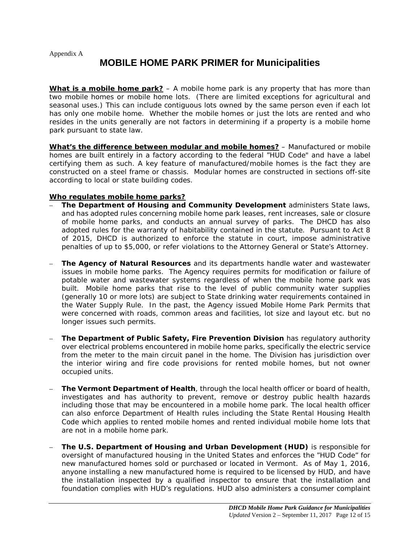Appendix A

# **MOBILE HOME PARK PRIMER for Municipalities**

**What is a mobile home park?** – A mobile home park is any property that has more than two mobile homes or mobile home lots. (There are limited exceptions for agricultural and seasonal uses.) This can include contiguous lots owned by the same person even if each lot has only one mobile home. Whether the mobile homes or just the lots are rented and who resides in the units generally are not factors in determining if a property is a mobile home park pursuant to state law.

**What's the difference between modular and mobile homes?** – Manufactured or mobile homes are built entirely in a factory according to the federal "HUD Code" and have a label certifying them as such. A key feature of manufactured/mobile homes is the fact they are constructed on a steel frame or chassis. Modular homes are constructed in sections off-site according to local or state building codes.

#### **Who regulates mobile home parks?**

- **The Department of Housing and Community Development** administers State laws, and has adopted rules concerning mobile home park leases, rent increases, sale or closure of mobile home parks, and conducts an annual survey of parks. The DHCD has also adopted rules for the warranty of habitability contained in the statute. Pursuant to Act 8 of 2015, DHCD is authorized to enforce the statute in court, impose administrative penalties of up to \$5,000, or refer violations to the Attorney General or State's Attorney.
- **The Agency of Natural Resources** and its departments handle water and wastewater issues in mobile home parks. The Agency requires permits for modification or failure of potable water and wastewater systems regardless of when the mobile home park was built. Mobile home parks that rise to the level of public community water supplies (generally 10 or more lots) are subject to State drinking water requirements contained in the Water Supply Rule. In the past, the Agency issued Mobile Home Park Permits that were concerned with roads, common areas and facilities, lot size and layout etc. but no longer issues such permits.
- **The Department of Public Safety, Fire Prevention Division** has regulatory authority over electrical problems encountered in mobile home parks, specifically the electric service from the meter to the main circuit panel in the home. The Division has jurisdiction over the interior wiring and fire code provisions for rented mobile homes, but not owner occupied units.
- **The Vermont Department of Health**, through the local health officer or board of health, investigates and has authority to prevent, remove or destroy public health hazards including those that may be encountered in a mobile home park. The local health officer can also enforce Department of Health rules including the State Rental Housing Health Code which applies to rented mobile homes and rented individual mobile home lots that are not in a mobile home park.
- **The U.S. Department of Housing and Urban Development (HUD)** is responsible for oversight of manufactured housing in the United States and enforces the "HUD Code" for new manufactured homes sold or purchased or located in Vermont. As of May 1, 2016, anyone installing a new manufactured home is required to be licensed by HUD, and have the installation inspected by a qualified inspector to ensure that the installation and foundation complies with HUD's regulations. HUD also administers a consumer complaint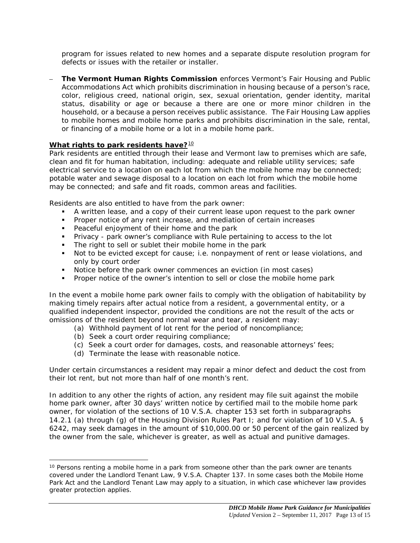program for issues related to new homes and a separate dispute resolution program for defects or issues with the retailer or installer.

– **The Vermont Human Rights Commission** enforces Vermont's Fair Housing and Public Accommodations Act which prohibits discrimination in housing because of a person's race, color, religious creed, national origin, sex, sexual orientation, gender identity, marital status, disability or age or because a there are one or more minor children in the household, or a because a person receives public assistance. The Fair Housing Law applies to mobile homes and mobile home parks and prohibits discrimination in the sale, rental, or financing of a mobile home or a lot in a mobile home park.

#### What rights to park residents have?<sup>[10](#page-12-0)</sup>

Park residents are entitled through their lease and Vermont law to premises which are safe, clean and fit for human habitation, including: adequate and reliable utility services; safe electrical service to a location on each lot from which the mobile home may be connected; potable water and sewage disposal to a location on each lot from which the mobile home may be connected; and safe and fit roads, common areas and facilities.

Residents are also entitled to have from the park owner:

- A written lease, and a copy of their current lease upon request to the park owner
- **Proper notice of any rent increase, and mediation of certain increases**
- **Peaceful enjoyment of their home and the park**
- Privacy park owner's compliance with Rule pertaining to access to the lot
- The right to sell or sublet their mobile home in the park
- Not to be evicted except for cause; i.e. nonpayment of rent or lease violations, and only by court order
- Notice before the park owner commences an eviction (in most cases)
- **Proper notice of the owner's intention to sell or close the mobile home park**

In the event a mobile home park owner fails to comply with the obligation of habitability by making timely repairs after actual notice from a resident, a governmental entity, or a qualified independent inspector, provided the conditions are not the result of the acts or omissions of the resident beyond normal wear and tear, a resident may:

- (a) Withhold payment of lot rent for the period of noncompliance;
- (b) Seek a court order requiring compliance;

 $\overline{a}$ 

- (c) Seek a court order for damages, costs, and reasonable attorneys' fees;
- (d) Terminate the lease with reasonable notice.

Under certain circumstances a resident may repair a minor defect and deduct the cost from their lot rent, but not more than half of one month's rent.

In addition to any other the rights of action, any resident may file suit against the mobile home park owner, after 30 days' written notice by certified mail to the mobile home park owner, for violation of the sections of 10 V.S.A. chapter 153 set forth in subparagraphs 14.2.1 (a) through (g) of the Housing Division Rules Part I; and for violation of 10 V.S.A. § 6242, may seek damages in the amount of \$10,000.00 or 50 percent of the gain realized by the owner from the sale, whichever is greater, as well as actual and punitive damages.

<span id="page-12-0"></span><sup>&</sup>lt;sup>10</sup> Persons renting a mobile home in a park from someone other than the park owner are tenants covered under the Landlord Tenant Law, 9 V.S.A. Chapter 137. In some cases both the Mobile Home Park Act and the Landlord Tenant Law may apply to a situation, in which case whichever law provides greater protection applies.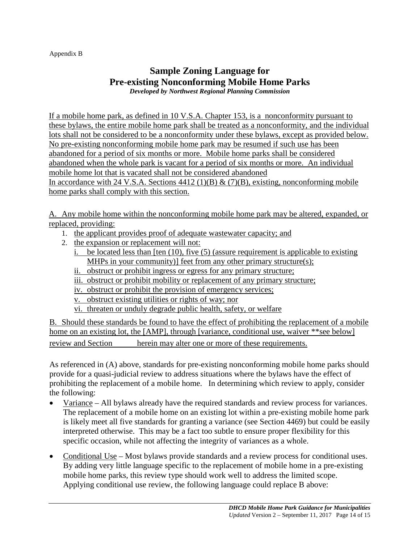#### Appendix B

## **Sample Zoning Language for Pre-existing Nonconforming Mobile Home Parks** *Developed by Northwest Regional Planning Commission*

If a mobile home park, as defined in 10 V.S.A. Chapter 153, is a nonconformity pursuant to these bylaws, the entire mobile home park shall be treated as a nonconformity, and the individual lots shall not be considered to be a nonconformity under these bylaws, except as provided below. No pre-existing nonconforming mobile home park may be resumed if such use has been abandoned for a period of six months or more. Mobile home parks shall be considered abandoned when the whole park is vacant for a period of six months or more. An individual mobile home lot that is vacated shall not be considered abandoned In accordance with 24 V.S.A. Sections  $4412 (1)(B) \& (7)(B)$ , existing, nonconforming mobile home parks shall comply with this section.

A. Any mobile home within the nonconforming mobile home park may be altered, expanded, or replaced, providing:

- 1. the applicant provides proof of adequate wastewater capacity; and
- 2. the expansion or replacement will not:
	- i. be located less than [ten (10), five (5) (assure requirement is applicable to existing MHPs in your community)] feet from any other primary structure(s);
	- ii. obstruct or prohibit ingress or egress for any primary structure;
	- iii. obstruct or prohibit mobility or replacement of any primary structure;
	- iv. obstruct or prohibit the provision of emergency services;
	- v. obstruct existing utilities or rights of way; nor
	- vi. threaten or unduly degrade public health, safety, or welfare

B. Should these standards be found to have the effect of prohibiting the replacement of a mobile home on an existing lot, the [AMP], through [variance, conditional use, waiver \*\*see below] review and Section herein may alter one or more of these requirements.

As referenced in (A) above, standards for pre-existing nonconforming mobile home parks should provide for a quasi-judicial review to address situations where the bylaws have the effect of prohibiting the replacement of a mobile home. In determining which review to apply, consider the following:

- Variance All bylaws already have the required standards and review process for variances. The replacement of a mobile home on an existing lot within a pre-existing mobile home park is likely meet all five standards for granting a variance (see Section 4469) but could be easily interpreted otherwise. This may be a fact too subtle to ensure proper flexibility for this specific occasion, while not affecting the integrity of variances as a whole.
- Conditional Use Most bylaws provide standards and a review process for conditional uses. By adding very little language specific to the replacement of mobile home in a pre-existing mobile home parks, this review type should work well to address the limited scope. Applying conditional use review, the following language could replace B above: